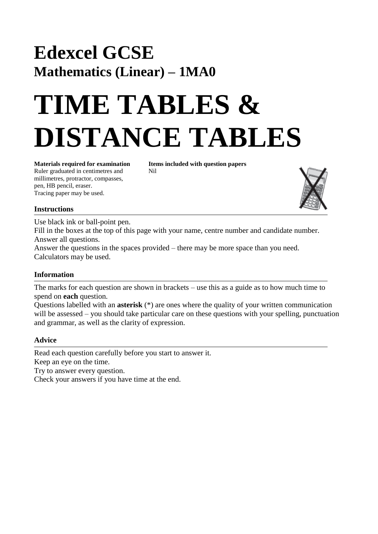## **Edexcel GCSE Mathematics (Linear) – 1MA0**

# **TIME TABLES & DISTANCE TABLES**

Ruler graduated in centimetres and Nil millimetres, protractor, compasses, pen, HB pencil, eraser. Tracing paper may be used.

**Materials required for examination Items included with question papers** 



#### **Instructions**

Use black ink or ball-point pen. Fill in the boxes at the top of this page with your name, centre number and candidate number. Answer all questions. Answer the questions in the spaces provided – there may be more space than you need. Calculators may be used.

### **Information**

The marks for each question are shown in brackets – use this as a guide as to how much time to spend on **each** question.

Questions labelled with an **asterisk** (\*) are ones where the quality of your written communication will be assessed – you should take particular care on these questions with your spelling, punctuation and grammar, as well as the clarity of expression.

#### **Advice**

Read each question carefully before you start to answer it. Keep an eye on the time.

Try to answer every question.

Check your answers if you have time at the end.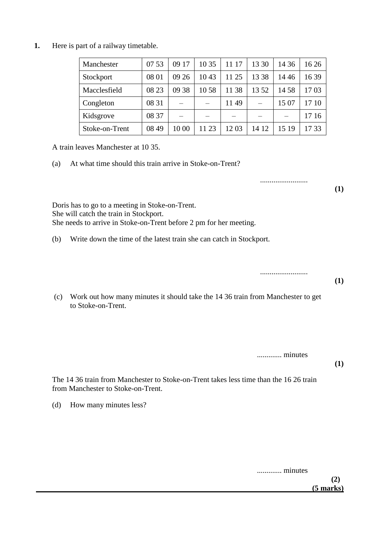**1.** Here is part of a railway timetable.

| Manchester     | 07 53 | 09 17 | 10 35 | 11 17 | 13 30 | 14 36 | 16 26 |
|----------------|-------|-------|-------|-------|-------|-------|-------|
| Stockport      | 08 01 | 09 26 | 1043  | 11 25 | 13 38 | 1446  | 1639  |
| Macclesfield   | 08 23 | 09 38 | 1058  | 11 38 | 1352  | 14 58 | 1703  |
| Congleton      | 08 31 |       |       | 1149  |       | 15 07 | 17 10 |
| Kidsgrove      | 08 37 |       |       |       |       |       | 17 16 |
| Stoke-on-Trent | 08 49 | 10 00 | 11 23 | 1203  | 14 12 | 15 19 | 1733  |

A train leaves Manchester at 10 35.

(a) At what time should this train arrive in Stoke-on-Trent?

Doris has to go to a meeting in Stoke-on-Trent. She will catch the train in Stockport. She needs to arrive in Stoke-on-Trent before 2 pm for her meeting.

(b) Write down the time of the latest train she can catch in Stockport.

.........................

.........................

**(1)**

**(1)**

(c) Work out how many minutes it should take the 14 36 train from Manchester to get to Stoke-on-Trent.

............. minutes

**(1)**

The 14 36 train from Manchester to Stoke-on-Trent takes less time than the 16 26 train from Manchester to Stoke-on-Trent.

(d) How many minutes less?

............. minutes

**(2) (5 marks)**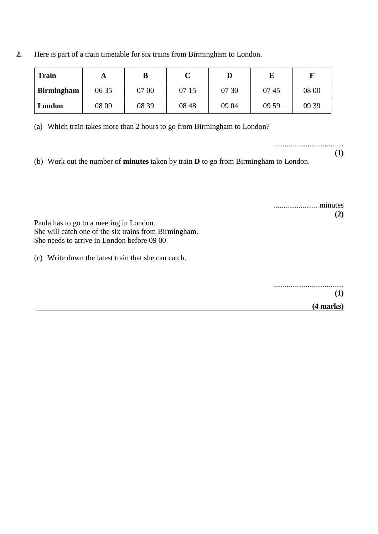| 2. |  |  |  |                                                                             |  |
|----|--|--|--|-----------------------------------------------------------------------------|--|
|    |  |  |  | Here is part of a train timetable for six trains from Birmingham to London. |  |

| <b>Train</b>      | ГY.   | B     |       |       |       |       |
|-------------------|-------|-------|-------|-------|-------|-------|
| <b>Birmingham</b> | 06 35 | 07 00 | 07 15 | 07 30 | 0745  | 08 00 |
| London            | 08 09 | 08 39 | 08 48 | 09 04 | 09 59 | 09 39 |

(a) Which train takes more than 2 hours to go from Birmingham to London?

..................................... **(1)**

(b) Work out the number of **minutes** taken by train **D** to go from Birmingham to London.

....................... minutes **(2)**

Paula has to go to a meeting in London. She will catch one of the six trains from Birmingham. She needs to arrive in London before 09 00

(c) Write down the latest train that she can catch.

.....................................

**(1)**

 **(4 marks)**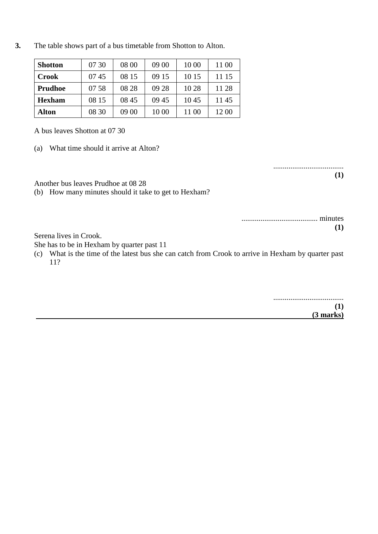**3.** The table shows part of a bus timetable from Shotton to Alton.

| <b>Shotton</b> | 07 30 | 08 00 | 09 00 | 10 00 | 11 00 |
|----------------|-------|-------|-------|-------|-------|
| <b>Crook</b>   | 0745  | 08 15 | 09 15 | 10 15 | 11 15 |
| <b>Prudhoe</b> | 07 58 | 08 28 | 09 28 | 10 28 | 11 28 |
| <b>Hexham</b>  | 08 15 | 08 45 | 09 45 | 1045  | 1145  |
| Alton          | 08 30 | 09 00 | 10 00 | 11 00 | 12 00 |

A bus leaves Shotton at 07 30

(a) What time should it arrive at Alton?

..................................... **(1)**

Another bus leaves Prudhoe at 08 28

(b) How many minutes should it take to get to Hexham?

| (1) |
|-----|

Serena lives in Crook.

She has to be in Hexham by quarter past 11

(c) What is the time of the latest bus she can catch from Crook to arrive in Hexham by quarter past 11?

> ..................................... **(1)**

 **(3 marks)**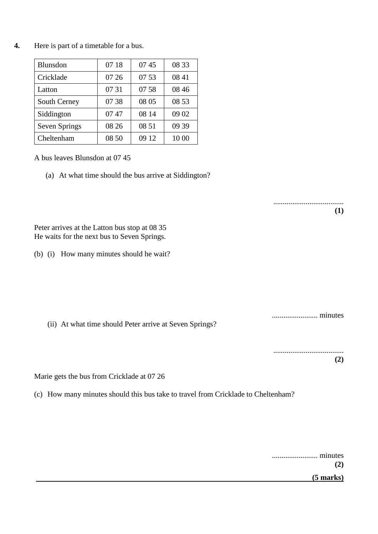**4.** Here is part of a timetable for a bus.

| Blunsdon      | 07 18 | 0745  | 08 33 |
|---------------|-------|-------|-------|
| Cricklade     | 07 26 | 07 53 | 08 41 |
| Latton        | 07 31 | 07 58 | 08 46 |
| South Cerney  | 07 38 | 08 05 | 08 53 |
| Siddington    | 0747  | 08 14 | 09 02 |
| Seven Springs | 08 26 | 08 51 | 09 39 |
| Cheltenham    | 08 50 | 09 12 | 10 00 |

A bus leaves Blunsdon at 07 45

(a) At what time should the bus arrive at Siddington?

Peter arrives at the Latton bus stop at 08 35 He waits for the next bus to Seven Springs.

(b) (i) How many minutes should he wait?

(ii) At what time should Peter arrive at Seven Springs?

..................................... **(2)**

........................ minutes

.....................................

**(1)**

Marie gets the bus from Cricklade at 07 26

(c) How many minutes should this bus take to travel from Cricklade to Cheltenham?

|             | (2) |
|-------------|-----|
| $(5$ marks) |     |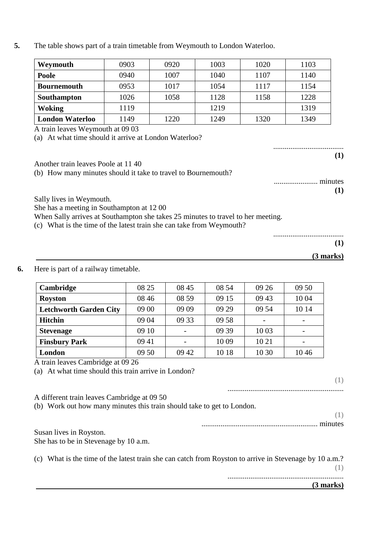**5.** The table shows part of a train timetable from Weymouth to London Waterloo.

| Weymouth               | 0903 | 0920 | 1003 | 1020 | 1103 |
|------------------------|------|------|------|------|------|
| Poole                  | 0940 | 1007 | 1040 | 1107 | 1140 |
| <b>Bournemouth</b>     | 0953 | 1017 | 1054 | 1117 | 1154 |
| Southampton            | 1026 | 1058 | 1128 | 1158 | 1228 |
| Woking                 | 1119 |      | 1219 |      | 1319 |
| <b>London Waterloo</b> | 1149 | 1220 | 1249 | 1320 | 1349 |

A train leaves Weymouth at 09 03

(a) At what time should it arrive at London Waterloo?

..................................... **(1)**

Another train leaves Poole at 11 40 (b) How many minutes should it take to travel to Bournemouth?

> ....................... minutes **(1)**

.....................................

Sally lives in Weymouth.

She has a meeting in Southampton at 12 00

When Sally arrives at Southampton she takes 25 minutes to travel to her meeting.

- (c) What is the time of the latest train she can take from Weymouth?
- **6.** Here is part of a railway timetable.

| Cambridge                     | 08 25 | 08 45 | 08 54 | 09 26                    | 09 50 |
|-------------------------------|-------|-------|-------|--------------------------|-------|
| <b>Royston</b>                | 08 46 | 08 59 | 09 15 | 09 43                    | 10 04 |
| <b>Letchworth Garden City</b> | 09 00 | 09 09 | 09 29 | 09 54                    | 10 14 |
| <b>Hitchin</b>                | 09 04 | 09 33 | 09 58 | $\overline{\phantom{a}}$ |       |
| <b>Stevenage</b>              | 09 10 |       | 09 39 | 10 03                    |       |
| <b>Finsbury Park</b>          | 09 41 |       | 10 09 | 10 21                    |       |
| London                        | 09 50 | 09 42 | 10 18 | 10 30                    | 1046  |

 **(3 marks)**

A train leaves Cambridge at 09 26

(a) At what time should this train arrive in London?

**(1)**

**(1)**

............................................................. A different train leaves Cambridge at 09 50 (b) Work out how many minutes this train should take to get to London.

> **(1)** ............................................................. minutes

Susan lives in Royston. She has to be in Stevenage by 10 a.m.

(c) What is the time of the latest train she can catch from Royston to arrive in Stevenage by 10 a.m.? **(1)**

.............................................................  **(3 marks)**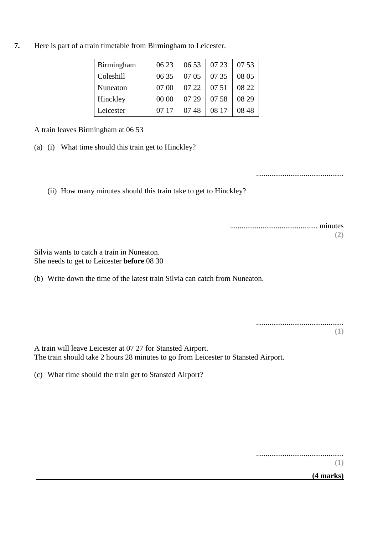**7.** Here is part of a train timetable from Birmingham to Leicester.

| Birmingham | 06 23 | 06 53 | 07 23 | 07 53 |
|------------|-------|-------|-------|-------|
| Coleshill  | 06 35 | 07 05 | 07 35 | 08 05 |
| Nuneaton   | 07 00 | 07 22 | 07 51 | 08 22 |
| Hinckley   | 00 00 | 07 29 | 0758  | 08 29 |
| Leicester  | 07 17 | 0748  | 08 17 | 08.48 |

A train leaves Birmingham at 06 53

(a) (i) What time should this train get to Hinckley?

..............................................

(ii) How many minutes should this train take to get to Hinckley?

.............................................. minutes **(2)**

Silvia wants to catch a train in Nuneaton. She needs to get to Leicester **before** 08 30

(b) Write down the time of the latest train Silvia can catch from Nuneaton.

A train will leave Leicester at 07 27 for Stansted Airport. The train should take 2 hours 28 minutes to go from Leicester to Stansted Airport.

(c) What time should the train get to Stansted Airport?

..............................................

**(1)**

 **(4 marks)**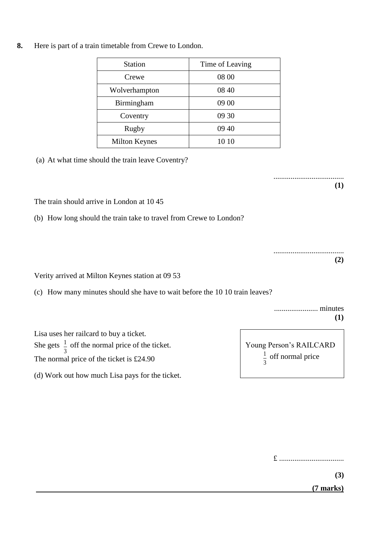**8.** Here is part of a train timetable from Crewe to London.

| <b>Station</b>       | Time of Leaving |
|----------------------|-----------------|
| Crewe                | 08 00           |
| Wolverhampton        | 08 40           |
| Birmingham           | 09 00           |
| Coventry             | 09 30           |
| Rugby                | 09 40           |
| <b>Milton Keynes</b> | 10 10           |

(a) At what time should the train leave Coventry?

..................................... **(1)**

The train should arrive in London at 10 45

(b) How long should the train take to travel from Crewe to London?

Verity arrived at Milton Keynes station at 09 53

(c) How many minutes should she have to wait before the 10 10 train leaves?

....................... minutes  **(1)**

.....................................

**(2)**

Lisa uses her railcard to buy a ticket. She gets  $\frac{1}{2}$  off the normal price of the ticket. The normal price of the ticket is £24.90

(d) Work out how much Lisa pays for the ticket.

3  $\frac{1}{2}$  off the not

|   | Young Person's RAILCARD        |
|---|--------------------------------|
| 3 | $\frac{1}{2}$ off normal price |

£ ..................................

**(3)**

 **(7 marks)**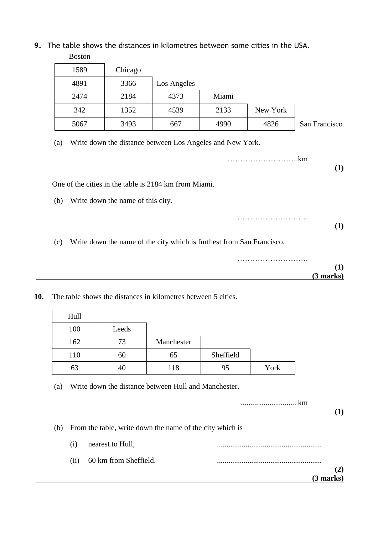**9.** The table shows the distances in kilometres between some cities in the USA.

|     | <b>Boston</b>                                             |                                   |             |       |          |               |
|-----|-----------------------------------------------------------|-----------------------------------|-------------|-------|----------|---------------|
|     | 1589                                                      | Chicago                           |             |       |          |               |
|     | 4891                                                      | 3366                              | Los Angeles |       |          |               |
|     | 2474                                                      | 2184                              | 4373        | Miami |          |               |
|     | 342                                                       | 1352                              | 4539        | 2133  | New York |               |
|     | 5067                                                      | 3493                              | 667         | 4990  | 4826     | San Francisco |
| (a) | Write down the distance between Los Angeles and New York. |                                   |             |       |          |               |
|     |                                                           |                                   |             |       |          | .km           |
|     |                                                           |                                   |             |       |          | (1)           |
|     | One of the cities in the table is 2184 km from Miami.     |                                   |             |       |          |               |
| (b) |                                                           | Write down the name of this city. |             |       |          |               |

- (c) Write down the name of the city which is furthest from San Francisco.
	- ………………………. **(1) (3 marks)**

………………………………………

**(1)**

**10.** The table shows the distances in kilometres between 5 cities.

| Hull |       |            |           |      |  |
|------|-------|------------|-----------|------|--|
| 100  | Leeds |            |           |      |  |
| 162  | 73    | Manchester |           |      |  |
| 110  | 60    | 65         | Sheffield |      |  |
| 63   | 40    | 118        | 95        | York |  |

(a) Write down the distance between Hull and Manchester.

| (b) |      | From the table, write down the name of the city which is |              |
|-----|------|----------------------------------------------------------|--------------|
|     | (1)  | nearest to Hull,                                         |              |
|     | (11) | 60 km from Sheffield.                                    |              |
|     |      |                                                          | $\mathbf{2}$ |
|     |      |                                                          | $(3$ marks)  |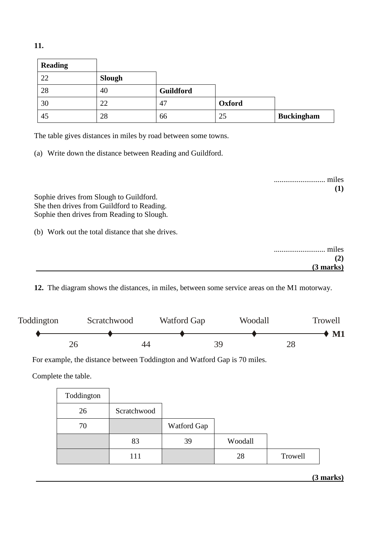| ٧ |    |
|---|----|
|   | ۰. |

| <b>Reading</b> |               |           |        |                   |
|----------------|---------------|-----------|--------|-------------------|
| 22             | <b>Slough</b> |           |        |                   |
| 28             | 40            | Guildford |        |                   |
| 30             | 22            | 47        | Oxford |                   |
| 45             | 28            | 66        | 25     | <b>Buckingham</b> |

The table gives distances in miles by road between some towns.

(a) Write down the distance between Reading and Guildford.

........................... miles **(1)** Sophie drives from Slough to Guildford. She then drives from Guildford to Reading. Sophie then drives from Reading to Slough. (b) Work out the total distance that she drives. ........................... miles **(2) (3 marks)**

**12.** The diagram shows the distances, in miles, between some service areas on the M1 motorway.



For example, the distance between Toddington and Watford Gap is 70 miles.

Complete the table.

| Toddington |             |             |         |         |
|------------|-------------|-------------|---------|---------|
| 26         | Scratchwood |             |         |         |
| 70         |             | Watford Gap |         |         |
|            | 83          | 39          | Woodall |         |
|            | 111         |             | 28      | Trowell |

 **(3 marks)**